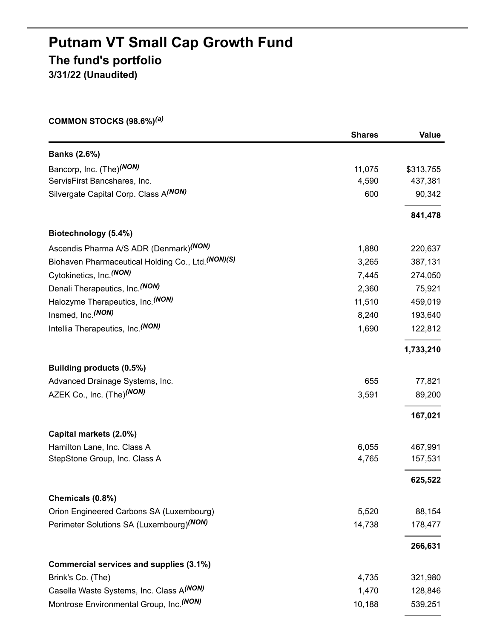## **Putnam VT Small Cap Growth Fund The fund's portfolio 3/31/22 (Unaudited)**

**COMMON STOCKS (98.6%)** *(a)*

|                                                    | <b>Shares</b> | <b>Value</b> |
|----------------------------------------------------|---------------|--------------|
| <b>Banks (2.6%)</b>                                |               |              |
| Bancorp, Inc. (The) <sup>(NON)</sup>               | 11,075        | \$313,755    |
| ServisFirst Bancshares, Inc.                       | 4,590         | 437,381      |
| Silvergate Capital Corp. Class A(NON)              | 600           | 90,342       |
|                                                    |               | 841,478      |
| Biotechnology (5.4%)                               |               |              |
| Ascendis Pharma A/S ADR (Denmark) <sup>(NON)</sup> | 1,880         | 220,637      |
| Biohaven Pharmaceutical Holding Co., Ltd. (NON)(S) | 3,265         | 387,131      |
| Cytokinetics, Inc. <sup>(NON)</sup>                | 7,445         | 274,050      |
| Denali Therapeutics, Inc. (NON)                    | 2,360         | 75,921       |
| Halozyme Therapeutics, Inc. <sup>(NON)</sup>       | 11,510        | 459,019      |
| Insmed, Inc. (NON)                                 | 8,240         | 193,640      |
| Intellia Therapeutics, Inc. (NON)                  | 1,690         | 122,812      |
|                                                    |               | 1,733,210    |
| Building products (0.5%)                           |               |              |
| Advanced Drainage Systems, Inc.                    | 655           | 77,821       |
| AZEK Co., Inc. (The) <sup>(NON)</sup>              | 3,591         | 89,200       |
|                                                    |               | 167,021      |
| Capital markets (2.0%)                             |               |              |
| Hamilton Lane, Inc. Class A                        | 6,055         | 467,991      |
| StepStone Group, Inc. Class A                      | 4,765         | 157,531      |
|                                                    |               | 625,522      |
| Chemicals (0.8%)                                   |               |              |
| Orion Engineered Carbons SA (Luxembourg)           | 5,520         | 88,154       |
| Perimeter Solutions SA (Luxembourg)(NON)           | 14,738        | 178,477      |
|                                                    |               | 266,631      |
| Commercial services and supplies (3.1%)            |               |              |
| Brink's Co. (The)                                  | 4,735         | 321,980      |
| Casella Waste Systems, Inc. Class A(NON)           | 1,470         | 128,846      |
| Montrose Environmental Group, Inc. (NON)           | 10,188        | 539,251      |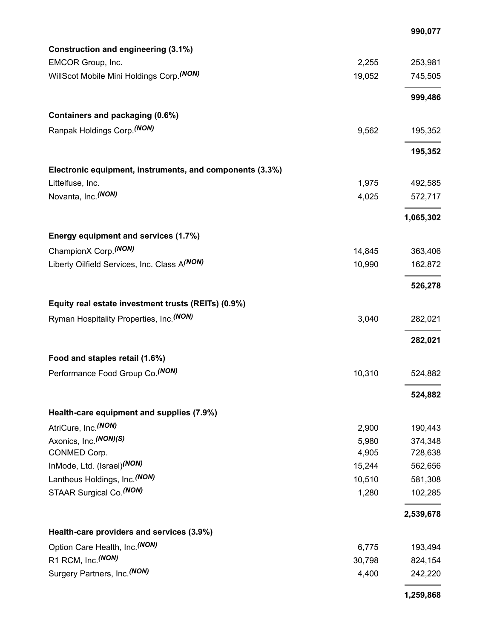|                                                          |        | 990,077   |
|----------------------------------------------------------|--------|-----------|
| Construction and engineering (3.1%)                      |        |           |
| EMCOR Group, Inc.                                        | 2,255  | 253,981   |
| WillScot Mobile Mini Holdings Corp. (NON)                | 19,052 | 745,505   |
|                                                          |        |           |
|                                                          |        | 999,486   |
| Containers and packaging (0.6%)                          |        |           |
| Ranpak Holdings Corp. (NON)                              | 9,562  | 195,352   |
|                                                          |        |           |
|                                                          |        | 195,352   |
| Electronic equipment, instruments, and components (3.3%) |        |           |
| Littelfuse, Inc.                                         | 1,975  | 492,585   |
| Novanta, Inc. (NON)                                      | 4,025  | 572,717   |
|                                                          |        |           |
|                                                          |        | 1,065,302 |
| Energy equipment and services (1.7%)                     |        |           |
| ChampionX Corp. <sup>(NON)</sup>                         | 14,845 | 363,406   |
| Liberty Oilfield Services, Inc. Class A(NON)             | 10,990 | 162,872   |
|                                                          |        |           |
|                                                          |        | 526,278   |
| Equity real estate investment trusts (REITs) (0.9%)      |        |           |
| Ryman Hospitality Properties, Inc. <sup>(NON)</sup>      | 3,040  | 282,021   |
|                                                          |        |           |
|                                                          |        | 282,021   |
| Food and staples retail (1.6%)                           |        |           |
| Performance Food Group Co. (NON)                         | 10,310 | 524,882   |
|                                                          |        |           |
|                                                          |        | 524,882   |
| Health-care equipment and supplies (7.9%)                |        |           |
| AtriCure, Inc. (NON)                                     | 2,900  | 190,443   |
| Axonics, Inc. (NON)(S)                                   | 5,980  | 374,348   |
| CONMED Corp.                                             | 4,905  | 728,638   |
| InMode, Ltd. (Israel) <sup>(NON)</sup>                   | 15,244 | 562,656   |
| Lantheus Holdings, Inc. (NON)                            | 10,510 | 581,308   |
| STAAR Surgical Co. (NON)                                 | 1,280  | 102,285   |
|                                                          |        |           |
|                                                          |        | 2,539,678 |
| Health-care providers and services (3.9%)                |        |           |
| Option Care Health, Inc. (NON)                           | 6,775  | 193,494   |
| R1 RCM, Inc. (NON)                                       | 30,798 | 824,154   |
| Surgery Partners, Inc. (NON)                             | 4,400  | 242,220   |
|                                                          |        |           |
|                                                          |        | 1,259,868 |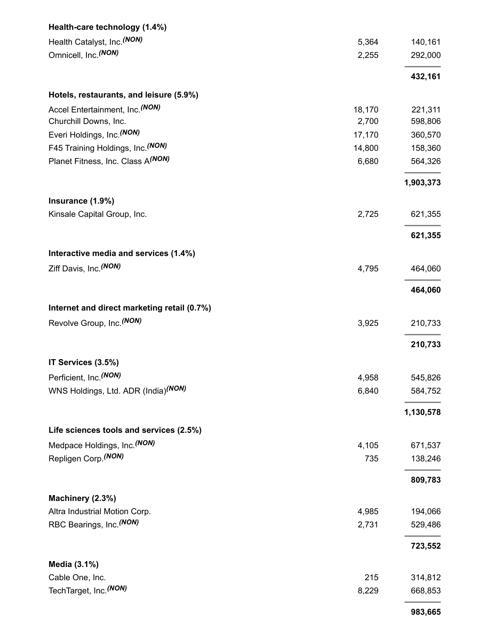| Health-care technology (1.4%)               |        |           |
|---------------------------------------------|--------|-----------|
| Health Catalyst, Inc. (NON)                 | 5,364  | 140,161   |
| Omnicell, Inc. (NON)                        | 2,255  | 292,000   |
|                                             |        | 432,161   |
| Hotels, restaurants, and leisure (5.9%)     |        |           |
| Accel Entertainment, Inc. <sup>(NON)</sup>  | 18,170 | 221,311   |
| Churchill Downs, Inc.                       | 2,700  | 598,806   |
| Everi Holdings, Inc. (NON)                  | 17,170 | 360,570   |
| F45 Training Holdings, Inc. (NON)           | 14,800 | 158,360   |
| Planet Fitness, Inc. Class A(NON)           | 6,680  | 564,326   |
|                                             |        | 1,903,373 |
| Insurance (1.9%)                            |        |           |
| Kinsale Capital Group, Inc.                 | 2,725  | 621,355   |
|                                             |        | 621,355   |
| Interactive media and services (1.4%)       |        |           |
| Ziff Davis, Inc. (NON)                      | 4,795  | 464,060   |
|                                             |        | 464,060   |
| Internet and direct marketing retail (0.7%) |        |           |
| Revolve Group, Inc. (NON)                   | 3,925  | 210,733   |
|                                             |        |           |
|                                             |        | 210,733   |
| IT Services (3.5%)                          |        |           |
| Perficient, Inc. (NON)                      | 4,958  | 545,826   |
| WNS Holdings, Ltd. ADR (India)(NON)         | 6,840  | 584,752   |
|                                             |        | 1,130,578 |
| Life sciences tools and services (2.5%)     |        |           |
| Medpace Holdings, Inc. (NON)                | 4,105  | 671,537   |
| Repligen Corp. (NON)                        | 735    | 138,246   |
|                                             |        | 809,783   |
| Machinery (2.3%)                            |        |           |
| Altra Industrial Motion Corp.               | 4,985  | 194,066   |
| RBC Bearings, Inc. (NON)                    | 2,731  | 529,486   |
|                                             |        | 723,552   |
| Media (3.1%)                                |        |           |
| Cable One, Inc.                             | 215    | 314,812   |
| TechTarget, Inc. <sup>(NON)</sup>           | 8,229  | 668,853   |
|                                             |        | 983,665   |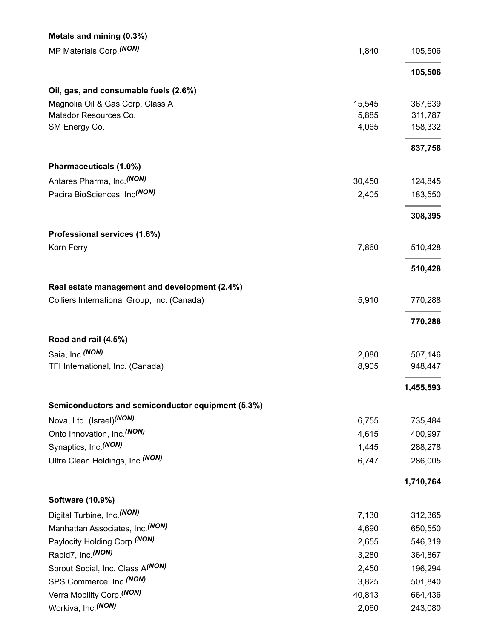| Metals and mining (0.3%)                          |        |           |
|---------------------------------------------------|--------|-----------|
| MP Materials Corp. (NON)                          | 1,840  | 105,506   |
|                                                   |        | 105,506   |
| Oil, gas, and consumable fuels (2.6%)             |        |           |
| Magnolia Oil & Gas Corp. Class A                  | 15,545 | 367,639   |
| Matador Resources Co.                             | 5,885  | 311,787   |
| SM Energy Co.                                     | 4,065  | 158,332   |
|                                                   |        | 837,758   |
| Pharmaceuticals (1.0%)                            |        |           |
| Antares Pharma, Inc. <sup>(NON)</sup>             | 30,450 | 124,845   |
| Pacira BioSciences, Inc <sup>(NON)</sup>          | 2,405  | 183,550   |
|                                                   |        | 308,395   |
| Professional services (1.6%)                      |        |           |
| Korn Ferry                                        | 7,860  | 510,428   |
|                                                   |        | 510,428   |
| Real estate management and development (2.4%)     |        |           |
| Colliers International Group, Inc. (Canada)       | 5,910  | 770,288   |
|                                                   |        | 770,288   |
| Road and rail (4.5%)                              |        |           |
| Saia, Inc. (NON)                                  | 2,080  | 507,146   |
| TFI International, Inc. (Canada)                  | 8,905  | 948,447   |
|                                                   |        | 1,455,593 |
| Semiconductors and semiconductor equipment (5.3%) |        |           |
| Nova, Ltd. (Israel) <sup>(NON)</sup>              | 6,755  | 735,484   |
| Onto Innovation, Inc. (NON)                       | 4,615  | 400,997   |
| Synaptics, Inc. (NON)                             | 1,445  | 288,278   |
| Ultra Clean Holdings, Inc. (NON)                  | 6,747  | 286,005   |
|                                                   |        | 1,710,764 |
| <b>Software (10.9%)</b>                           |        |           |
| Digital Turbine, Inc. (NON)                       | 7,130  | 312,365   |
| Manhattan Associates, Inc. (NON)                  | 4,690  | 650,550   |
| Paylocity Holding Corp. (NON)                     | 2,655  | 546,319   |
| Rapid7, Inc. (NON)                                | 3,280  | 364,867   |
| Sprout Social, Inc. Class A(NON)                  | 2,450  | 196,294   |
| SPS Commerce, Inc. (NON)                          | 3,825  | 501,840   |
| Verra Mobility Corp. (NON)                        | 40,813 | 664,436   |
| Workiva, Inc. (NON)                               | 2,060  | 243,080   |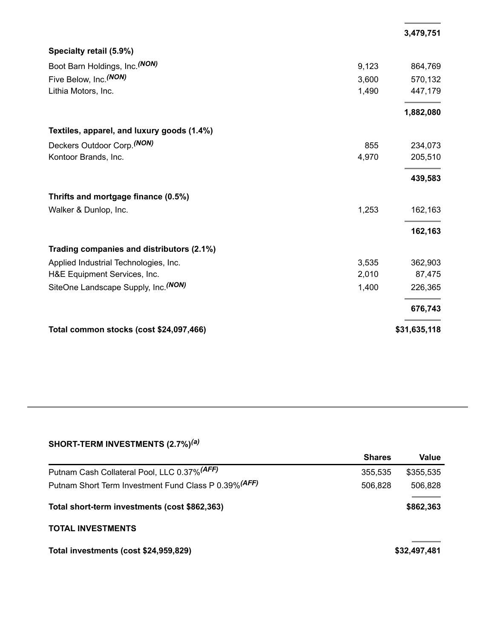|                                            |       | 3,479,751    |
|--------------------------------------------|-------|--------------|
| Specialty retail (5.9%)                    |       |              |
| Boot Barn Holdings, Inc. (NON)             | 9,123 | 864,769      |
| Five Below, Inc. (NON)                     | 3,600 | 570,132      |
| Lithia Motors, Inc.                        | 1,490 | 447,179      |
|                                            |       | 1,882,080    |
| Textiles, apparel, and luxury goods (1.4%) |       |              |
| Deckers Outdoor Corp. (NON)                | 855   | 234,073      |
| Kontoor Brands, Inc.                       | 4,970 | 205,510      |
|                                            |       | 439,583      |
| Thrifts and mortgage finance (0.5%)        |       |              |
| Walker & Dunlop, Inc.                      | 1,253 | 162,163      |
|                                            |       | 162,163      |
| Trading companies and distributors (2.1%)  |       |              |
| Applied Industrial Technologies, Inc.      | 3,535 | 362,903      |
| H&E Equipment Services, Inc.               | 2,010 | 87,475       |
| SiteOne Landscape Supply, Inc. (NON)       | 1,400 | 226,365      |
|                                            |       | 676,743      |
| Total common stocks (cost \$24,097,466)    |       | \$31,635,118 |

## **SHORT-TERM INVESTMENTS (2.7%)** *(a)*

|                                                       | <b>Shares</b> | Value        |
|-------------------------------------------------------|---------------|--------------|
| Putnam Cash Collateral Pool, LLC 0.37% (AFF)          | 355,535       | \$355,535    |
| Putnam Short Term Investment Fund Class P 0.39% (AFF) | 506,828       | 506,828      |
| Total short-term investments (cost \$862,363)         |               | \$862,363    |
| <b>TOTAL INVESTMENTS</b>                              |               |              |
| Total investments (cost \$24,959,829)                 |               | \$32,497,481 |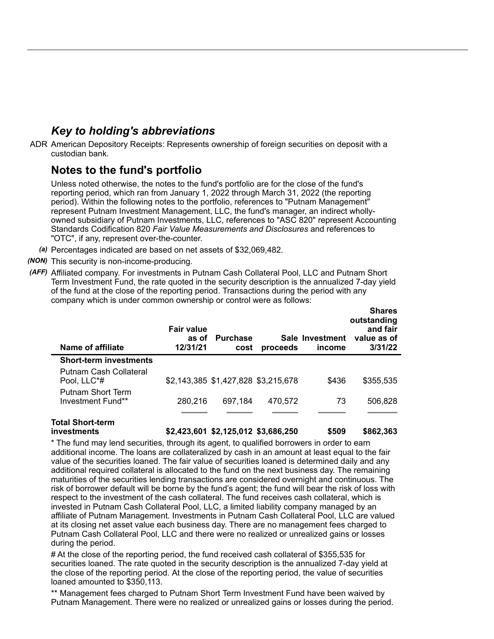## *Key to holding's abbreviations*

ADR American Depository Receipts: Represents ownership of foreign securities on deposit with a custodian bank.

## **Notes to the fund's portfolio**

Unless noted otherwise, the notes to the fund's portfolio are for the close of the fund's reporting period, which ran from January 1, 2022 through March 31, 2022 (the reporting period). Within the following notes to the portfolio, references to "Putnam Management" represent Putnam Investment Management, LLC, the fund's manager, an indirect whollyowned subsidiary of Putnam Investments, LLC, references to "ASC 820" represent Accounting Standards Codification 820 *Fair Value Measurements and Disclosures* and references to "OTC", if any, represent over-the-counter.

- *(a)* Percentages indicated are based on net assets of \$32,069,482.
- *(NON)* This security is non-income-producing.
- *(AFF)* Affiliated company. For investments in Putnam Cash Collateral Pool, LLC and Putnam Short Term Investment Fund, the rate quoted in the security description is the annualized 7-day yield of the fund at the close of the reporting period. Transactions during the period with any company which is under common ownership or control were as follows:

| Name of affiliate                             | <b>Fair value</b><br>as of<br>12/31/21 | <b>Purchase</b><br>cost             | proceeds | Sale Investment<br>income | wharvo<br>outstanding<br>and fair<br>value as of<br>3/31/22 |
|-----------------------------------------------|----------------------------------------|-------------------------------------|----------|---------------------------|-------------------------------------------------------------|
| <b>Short-term investments</b>                 |                                        |                                     |          |                           |                                                             |
| Putnam Cash Collateral<br>Pool, LLC*#         |                                        | \$2,143,385 \$1,427,828 \$3,215,678 |          | \$436                     | \$355,535                                                   |
| <b>Putnam Short Term</b><br>Investment Fund** | 280,216                                | 697,184                             | 470,572  | 73                        | 506,828                                                     |
| Total Short-term<br>investments               |                                        | \$2,423,601 \$2,125,012 \$3,686,250 |          | \$509                     | \$862,363                                                   |

**Shares**

\* The fund may lend securities, through its agent, to qualified borrowers in order to earn additional income. The loans are collateralized by cash in an amount at least equal to the fair value of the securities loaned. The fair value of securities loaned is determined daily and any additional required collateral is allocated to the fund on the next business day. The remaining maturities of the securities lending transactions are considered overnight and continuous. The risk of borrower default will be borne by the fund's agent; the fund will bear the risk of loss with respect to the investment of the cash collateral. The fund receives cash collateral, which is invested in Putnam Cash Collateral Pool, LLC, a limited liability company managed by an affiliate of Putnam Management. Investments in Putnam Cash Collateral Pool, LLC are valued at its closing net asset value each business day. There are no management fees charged to Putnam Cash Collateral Pool, LLC and there were no realized or unrealized gains or losses during the period.

# At the close of the reporting period, the fund received cash collateral of \$355,535 for securities loaned. The rate quoted in the security description is the annualized 7-day yield at the close of the reporting period. At the close of the reporting period, the value of securities loaned amounted to \$350,113.

\*\* Management fees charged to Putnam Short Term Investment Fund have been waived by Putnam Management. There were no realized or unrealized gains or losses during the period.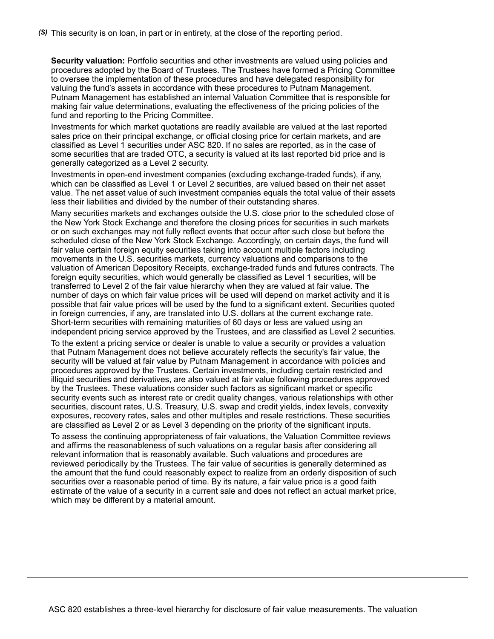**Security valuation:** Portfolio securities and other investments are valued using policies and procedures adopted by the Board of Trustees. The Trustees have formed a Pricing Committee to oversee the implementation of these procedures and have delegated responsibility for valuing the fund's assets in accordance with these procedures to Putnam Management. Putnam Management has established an internal Valuation Committee that is responsible for making fair value determinations, evaluating the effectiveness of the pricing policies of the fund and reporting to the Pricing Committee.

Investments for which market quotations are readily available are valued at the last reported sales price on their principal exchange, or official closing price for certain markets, and are classified as Level 1 securities under ASC 820. If no sales are reported, as in the case of some securities that are traded OTC, a security is valued at its last reported bid price and is generally categorized as a Level 2 security.

Investments in open-end investment companies (excluding exchange-traded funds), if any, which can be classified as Level 1 or Level 2 securities, are valued based on their net asset value. The net asset value of such investment companies equals the total value of their assets less their liabilities and divided by the number of their outstanding shares.

Many securities markets and exchanges outside the U.S. close prior to the scheduled close of the New York Stock Exchange and therefore the closing prices for securities in such markets or on such exchanges may not fully reflect events that occur after such close but before the scheduled close of the New York Stock Exchange. Accordingly, on certain days, the fund will fair value certain foreign equity securities taking into account multiple factors including movements in the U.S. securities markets, currency valuations and comparisons to the valuation of American Depository Receipts, exchange-traded funds and futures contracts. The foreign equity securities, which would generally be classified as Level 1 securities, will be transferred to Level 2 of the fair value hierarchy when they are valued at fair value. The number of days on which fair value prices will be used will depend on market activity and it is possible that fair value prices will be used by the fund to a significant extent. Securities quoted in foreign currencies, if any, are translated into U.S. dollars at the current exchange rate. Short-term securities with remaining maturities of 60 days or less are valued using an independent pricing service approved by the Trustees, and are classified as Level 2 securities.

To the extent a pricing service or dealer is unable to value a security or provides a valuation that Putnam Management does not believe accurately reflects the security's fair value, the security will be valued at fair value by Putnam Management in accordance with policies and procedures approved by the Trustees. Certain investments, including certain restricted and illiquid securities and derivatives, are also valued at fair value following procedures approved by the Trustees. These valuations consider such factors as significant market or specific security events such as interest rate or credit quality changes, various relationships with other securities, discount rates, U.S. Treasury, U.S. swap and credit yields, index levels, convexity exposures, recovery rates, sales and other multiples and resale restrictions. These securities are classified as Level 2 or as Level 3 depending on the priority of the significant inputs.

To assess the continuing appropriateness of fair valuations, the Valuation Committee reviews and affirms the reasonableness of such valuations on a regular basis after considering all relevant information that is reasonably available. Such valuations and procedures are reviewed periodically by the Trustees. The fair value of securities is generally determined as the amount that the fund could reasonably expect to realize from an orderly disposition of such securities over a reasonable period of time. By its nature, a fair value price is a good faith estimate of the value of a security in a current sale and does not reflect an actual market price, which may be different by a material amount.